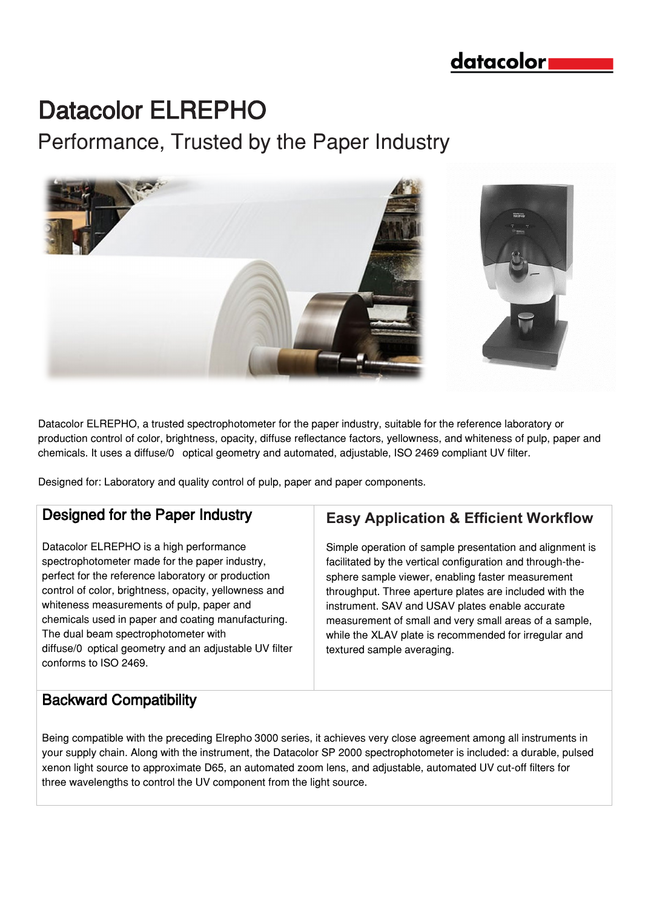## datacolor

# Datacolor ELREPHO

Performance, Trusted by the Paper Industry



Datacolor ELREPHO, a trusted spectrophotometer for the paper industry, suitable for the reference laboratory or production control of color, brightness, opacity, diffuse reflectance factors, yellowness, and whiteness of pulp, paper and chemicals. It uses a diffuse/0° optical geometry and automated, adjustable, ISO 2469 compliant UV filter.

Designed for: Laboratory and quality control of pulp, paper and paper components.

### Designed for the Paper Industry

Datacolor ELREPHO is a high performance spectrophotometer made for the paper industry, perfect for the reference laboratory or production control of color, brightness, opacity, yellowness and whiteness measurements of pulp, paper and chemicals used in paper and coating manufacturing. The dual beam spectrophotometer with diffuse/0 optical geometry and an adjustable UV filter conforms to ISO 2469.

## **Easy Application & Efficient Workflow**

Simple operation of sample presentation and alignment is facilitated by the vertical configuration and through-thesphere sample viewer, enabling faster measurement throughput. Three aperture plates are included with the instrument. SAV and USAV plates enable accurate measurement of small and very small areas of a sample, while the XLAV plate is recommended for irregular and textured sample averaging.

### Backward Compatibility

Being compatible with the preceding Elrepho 3000 series, it achieves very close agreement among all instruments in your supply chain. Along with the instrument, the Datacolor SP 2000 spectrophotometer is included: a durable, pulsed xenon light source to approximate D65, an automated zoom lens, and adjustable, automated UV cut-off filters for three wavelengths to control the UV component from the light source.